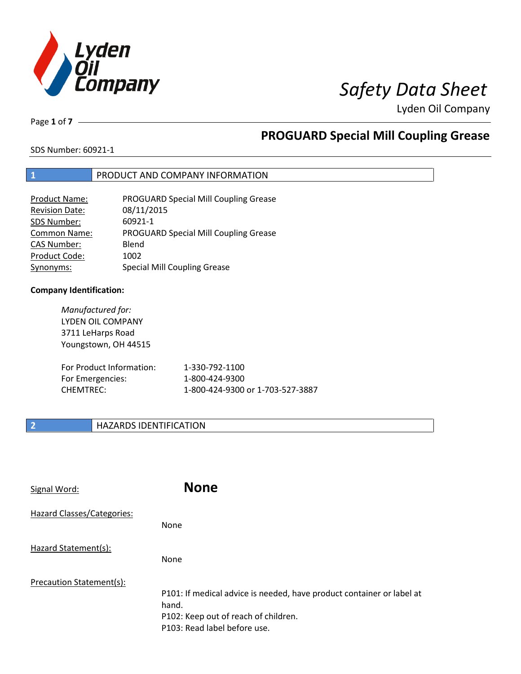

# *Safety Data Sheet*

Lyden Oil Company

Page **1** of **7**

## **PROGUARD Special Mill Coupling Grease**

SDS Number: 60921-1

### **1** PRODUCT AND COMPANY INFORMATION

| <b>Product Name:</b>  | <b>PROGUARD Special Mill Coupling Grease</b> |
|-----------------------|----------------------------------------------|
| <b>Revision Date:</b> | 08/11/2015                                   |
| SDS Number:           | 60921-1                                      |
| <b>Common Name:</b>   | <b>PROGUARD Special Mill Coupling Grease</b> |
| <b>CAS Number:</b>    | Blend                                        |
| Product Code:         | 1002                                         |
| Synonyms:             | <b>Special Mill Coupling Grease</b>          |

### **Company Identification:**

*Manufactured for:*  LYDEN OIL COMPANY 3711 LeHarps Road Youngstown, OH 44515 For Product Information: 1-330-792-1100 For Emergencies: 1-800-424-9300 CHEMTREC: 1-800-424-9300 or 1-703-527-3887

### **2 HAZARDS IDENTIFICATION**

| Signal Word:               | <b>None</b>                                                                                                                                            |
|----------------------------|--------------------------------------------------------------------------------------------------------------------------------------------------------|
| Hazard Classes/Categories: | <b>None</b>                                                                                                                                            |
| Hazard Statement(s):       | <b>None</b>                                                                                                                                            |
| Precaution Statement(s):   | P101: If medical advice is needed, have product container or label at<br>hand.<br>P102: Keep out of reach of children.<br>P103: Read label before use. |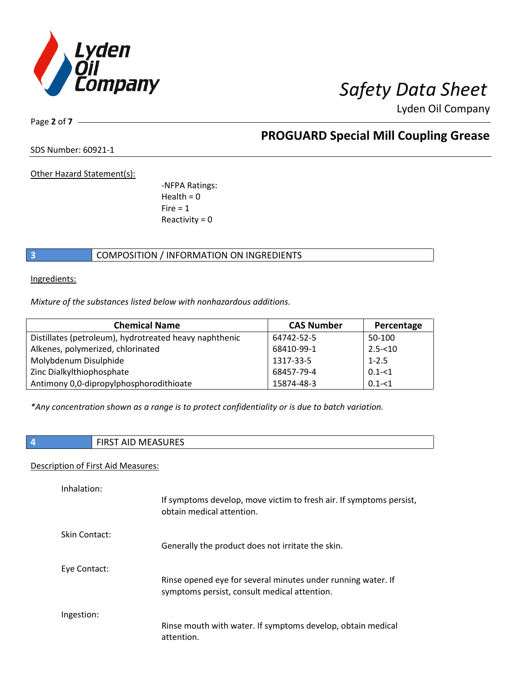

Lyden Oil Company

Page **2** of **7**

## **PROGUARD Special Mill Coupling Grease**

SDS Number: 60921-1

Other Hazard Statement(s):

-NFPA Ratings:  $Health = 0$  $Fire = 1$ Reactivity  $= 0$ 

## **3 COMPOSITION** / INFORMATION ON INGREDIENTS

Ingredients:

*Mixture of the substances listed below with nonhazardous additions.*

| <b>Chemical Name</b>                                   | <b>CAS Number</b> | Percentage |
|--------------------------------------------------------|-------------------|------------|
| Distillates (petroleum), hydrotreated heavy naphthenic | 64742-52-5        | 50-100     |
| Alkenes, polymerized, chlorinated                      | 68410-99-1        | $2.5 - 10$ |
| Molybdenum Disulphide                                  | 1317-33-5         | $1 - 2.5$  |
| Zinc Dialkylthiophosphate                              | 68457-79-4        | $0.1 - 1$  |
| Antimony 0,0-dipropylphosphorodithioate                | 15874-48-3        | $0.1 - 1$  |

*\*Any concentration shown as a range is to protect confidentiality or is due to batch variation.*

| <b>FIRST AID MEASURES</b> |
|---------------------------|
|                           |

### Description of First Aid Measures:

| Inhalation:   | If symptoms develop, move victim to fresh air. If symptoms persist,<br>obtain medical attention.             |
|---------------|--------------------------------------------------------------------------------------------------------------|
| Skin Contact: | Generally the product does not irritate the skin.                                                            |
| Eye Contact:  | Rinse opened eye for several minutes under running water. If<br>symptoms persist, consult medical attention. |
| Ingestion:    | Rinse mouth with water. If symptoms develop, obtain medical<br>attention.                                    |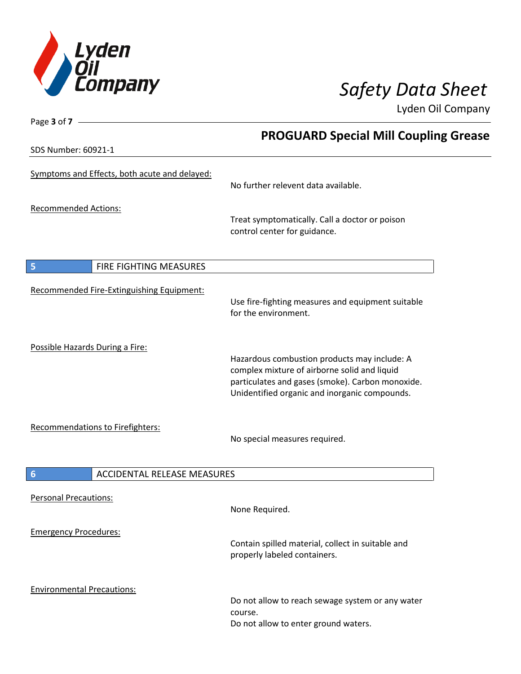

Lyden Oil Company

SDS Number: 60921-1

Page **3** of **7**

## **PROGUARD Special Mill Coupling Grease**

| <b>PDP INAILIDEL: DUATT-T</b>                         |                                                                                                                                                                                                   |
|-------------------------------------------------------|---------------------------------------------------------------------------------------------------------------------------------------------------------------------------------------------------|
| Symptoms and Effects, both acute and delayed:         | No further relevent data available.                                                                                                                                                               |
| <b>Recommended Actions:</b>                           | Treat symptomatically. Call a doctor or poison<br>control center for guidance.                                                                                                                    |
| 5<br>FIRE FIGHTING MEASURES                           |                                                                                                                                                                                                   |
| Recommended Fire-Extinguishing Equipment:             | Use fire-fighting measures and equipment suitable<br>for the environment.                                                                                                                         |
| Possible Hazards During a Fire:                       | Hazardous combustion products may include: A<br>complex mixture of airborne solid and liquid<br>particulates and gases (smoke). Carbon monoxide.<br>Unidentified organic and inorganic compounds. |
| Recommendations to Firefighters:                      | No special measures required.                                                                                                                                                                     |
| <b>ACCIDENTAL RELEASE MEASURES</b><br>$6\phantom{1}6$ |                                                                                                                                                                                                   |
| <b>Personal Precautions:</b>                          | None Required.                                                                                                                                                                                    |
| <b>Emergency Procedures:</b>                          | Contain spilled material, collect in suitable and<br>properly labeled containers.                                                                                                                 |
| <b>Environmental Precautions:</b>                     | Do not allow to reach sewage system or any water<br>course.<br>Do not allow to enter ground waters.                                                                                               |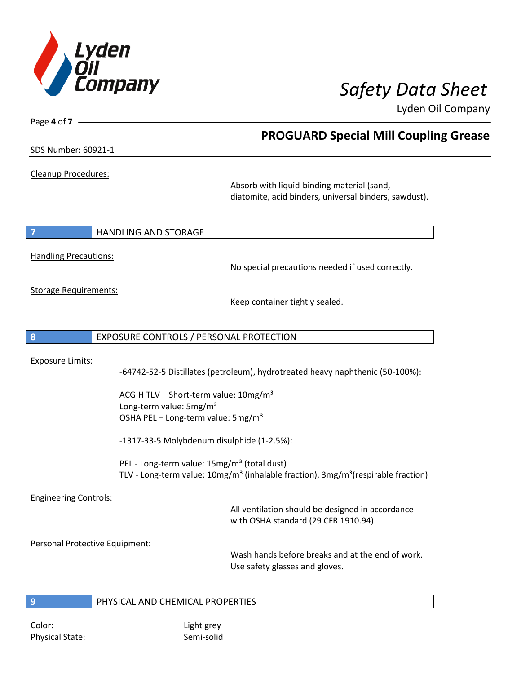

**PROGUARD Special Mill Coupling Grease**

Lyden Oil Company

SDS Number: 60921-1

Page **4** of **7**

Cleanup Procedures:

Absorb with liquid-binding material (sand, diatomite, acid binders, universal binders, sawdust).

**7 HANDLING AND STORAGE** 

Handling Precautions:

No special precautions needed if used correctly.

Storage Requirements:

Keep container tightly sealed.

**8** EXPOSURE CONTROLS / PERSONAL PROTECTION

Exposure Limits:

-64742-52-5 Distillates (petroleum), hydrotreated heavy naphthenic (50-100%):

ACGIH TLV – Short-term value:  $10\,\text{mg/m}^3$ Long-term value: 5mg/m<sup>3</sup> OSHA PEL – Long-term value: 5mg/m<sup>3</sup>

-1317-33-5 Molybdenum disulphide (1-2.5%):

PEL - Long-term value: 15mg/m<sup>3</sup> (total dust) TLV - Long-term value: 10mg/m<sup>3</sup> (inhalable fraction), 3mg/m<sup>3</sup>(respirable fraction)

Engineering Controls:

All ventilation should be designed in accordance with OSHA standard (29 CFR 1910.94).

Personal Protective Equipment:

Wash hands before breaks and at the end of work. Use safety glasses and gloves.

**9** PHYSICAL AND CHEMICAL PROPERTIES

Color: Light grey Physical State: Semi-solid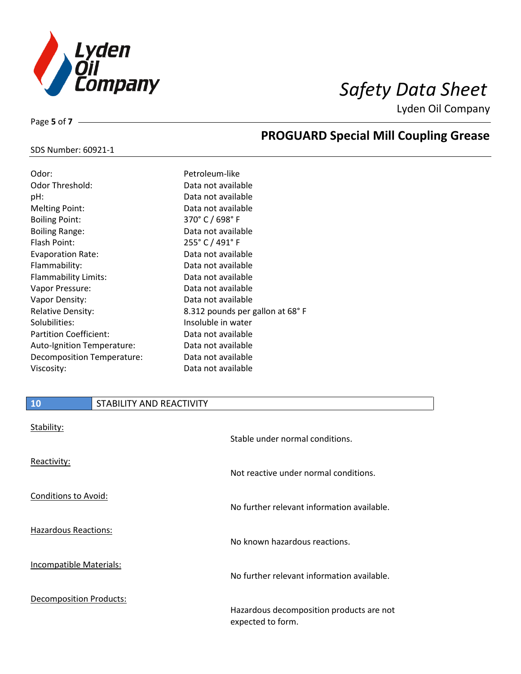

**PROGUARD Special Mill Coupling Grease**

Lyden Oil Company

### SDS Number: 60921-1

Page **5** of **7**

| Odor:                         | Petroleum-like                      |
|-------------------------------|-------------------------------------|
| <b>Odor Threshold:</b>        | Data not available                  |
| pH:                           | Data not available                  |
| <b>Melting Point:</b>         | Data not available                  |
| <b>Boiling Point:</b>         | 370 $^{\circ}$ C / 698 $^{\circ}$ F |
| <b>Boiling Range:</b>         | Data not available                  |
| Flash Point:                  | 255° C / 491° F                     |
| <b>Evaporation Rate:</b>      | Data not available                  |
| Flammability:                 | Data not available                  |
| Flammability Limits:          | Data not available                  |
| Vapor Pressure:               | Data not available                  |
| Vapor Density:                | Data not available                  |
| <b>Relative Density:</b>      | 8.312 pounds per gallon at 68°F     |
| Solubilities:                 | Insoluble in water                  |
| <b>Partition Coefficient:</b> | Data not available                  |
| Auto-Ignition Temperature:    | Data not available                  |
| Decomposition Temperature:    | Data not available                  |
| Viscosity:                    | Data not available                  |

## **10** STABILITY AND REACTIVITY

| Stability:                     | Stable under normal conditions.                               |
|--------------------------------|---------------------------------------------------------------|
| Reactivity:                    | Not reactive under normal conditions.                         |
| Conditions to Avoid:           | No further relevant information available.                    |
| <b>Hazardous Reactions:</b>    | No known hazardous reactions.                                 |
| Incompatible Materials:        | No further relevant information available.                    |
| <b>Decomposition Products:</b> | Hazardous decomposition products are not<br>expected to form. |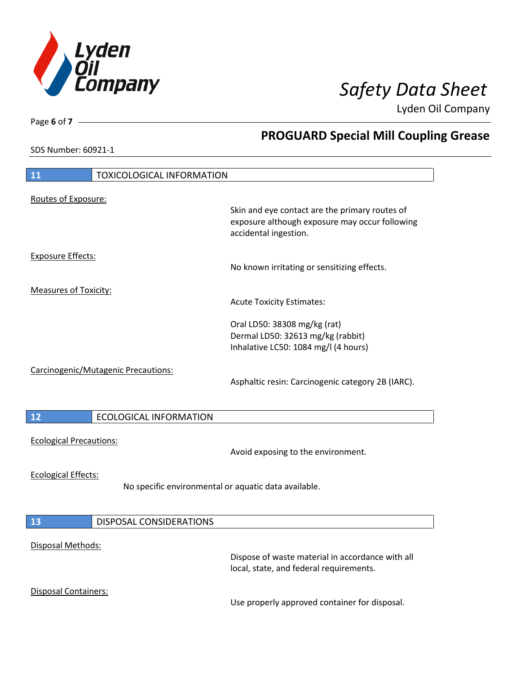

**PROGUARD Special Mill Coupling Grease**

Lyden Oil Company

SDS Number: 60921-1

## **11** TOXICOLOGICAL INFORMATION Routes of Exposure: Skin and eye contact are the primary routes of exposure although exposure may occur following accidental ingestion. Exposure Effects: No known irritating or sensitizing effects. Measures of Toxicity: Acute Toxicity Estimates: Oral LD50: 38308 mg/kg (rat) Dermal LD50: 32613 mg/kg (rabbit) Inhalative LC50: 1084 mg/l (4 hours) Carcinogenic/Mutagenic Precautions: Asphaltic resin: Carcinogenic category 2B (IARC). **12** ECOLOGICAL INFORMATION Ecological Precautions: Avoid exposing to the environment. Ecological Effects: No specific environmental or aquatic data available. **13** DISPOSAL CONSIDERATIONS Disposal Methods: Dispose of waste material in accordance with all local, state, and federal requirements. Disposal Containers: Use properly approved container for disposal.

Page **6** of **7**